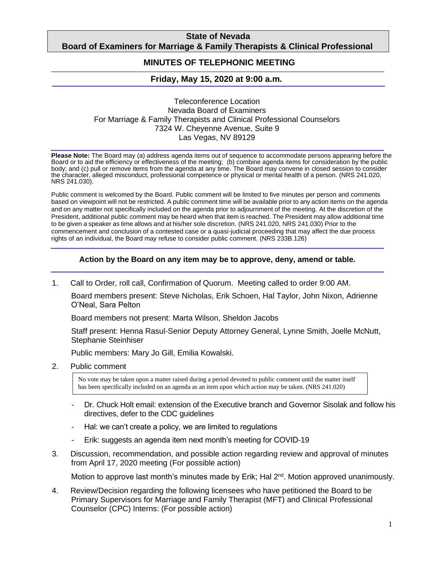## **State of Nevada Board of Examiners for Marriage & Family Therapists & Clinical Professional**

#### **Counselors MINUTES OF TELEPHONIC MEETING**

# **Friday, May 15, 2020 at 9:00 a.m***.*

#### Teleconference Location Nevada Board of Examiners For Marriage & Family Therapists and Clinical Professional Counselors 7324 W. Cheyenne Avenue, Suite 9 Las Vegas, NV 89129

**Please Note:** The Board may (a) address agenda items out of sequence to accommodate persons appearing before the Board or to aid the efficiency or effectiveness of the meeting; (b) combine agenda items for consideration by the public body; and (c) pull or remove items from the agenda at any time. The Board may convene in closed session to consider the character, alleged misconduct, professional competence or physical or mental health of a person. (NRS 241.020, NRS 241.030).

Public comment is welcomed by the Board. Public comment will be limited to five minutes per person and comments based on viewpoint will not be restricted. A public comment time will be available prior to any action items on the agenda and on any matter not specifically included on the agenda prior to adjournment of the meeting. At the discretion of the President, additional public comment may be heard when that item is reached. The President may allow additional time to be given a speaker as time allows and at his/her sole discretion. (NRS 241.020, NRS 241.030) Prior to the commencement and conclusion of a contested case or a quasi-judicial proceeding that may affect the due process rights of an individual, the Board may refuse to consider public comment. (NRS 233B.126)

### **Action by the Board on any item may be to approve, deny, amend or table.**

1. Call to Order, roll call, Confirmation of Quorum. Meeting called to order 9:00 AM.

Board members present: Steve Nicholas, Erik Schoen, Hal Taylor, John Nixon, Adrienne O'Neal, Sara Pelton

Board members not present: Marta Wilson, Sheldon Jacobs

Staff present: Henna Rasul-Senior Deputy Attorney General, Lynne Smith, Joelle McNutt, Stephanie Steinhiser

Public members: Mary Jo Gill, Emilia Kowalski.

2. Public comment

No vote may be taken upon a matter raised during a period devoted to public comment until the matter itself has been specifically included on an agenda as an item upon which action may be taken. (NRS 241.020)

- Dr. Chuck Holt email: extension of the Executive branch and Governor Sisolak and follow his directives, defer to the CDC guidelines
- Hal: we can't create a policy, we are limited to regulations
- Erik: suggests an agenda item next month's meeting for COVID-19
- 3. Discussion, recommendation, and possible action regarding review and approval of minutes from April 17, 2020 meeting (For possible action)

Motion to approve last month's minutes made by Erik; Hal 2<sup>nd</sup>. Motion approved unanimously.

4. Review/Decision regarding the following licensees who have petitioned the Board to be Primary Supervisors for Marriage and Family Therapist (MFT) and Clinical Professional Counselor (CPC) Interns: (For possible action)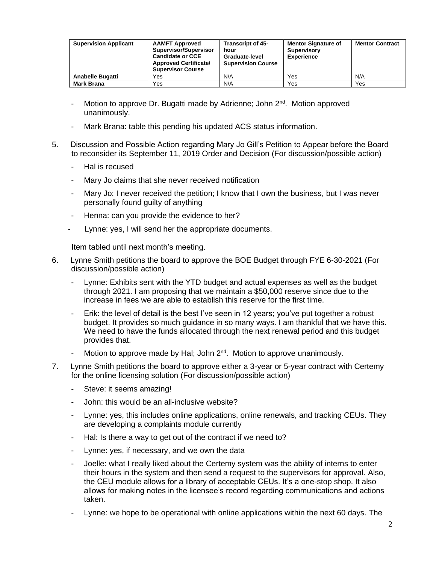| <b>Supervision Applicant</b> | <b>AAMFT Approved</b><br>Supervisor/Supervisor<br><b>Candidate or CCE</b><br><b>Approved Certificate/</b><br><b>Supervisor Course</b> | <b>Transcript of 45-</b><br>hour<br>Graduate-level<br><b>Supervision Course</b> | <b>Mentor Signature of</b><br><b>Supervisory</b><br><b>Experience</b> | <b>Mentor Contract</b> |
|------------------------------|---------------------------------------------------------------------------------------------------------------------------------------|---------------------------------------------------------------------------------|-----------------------------------------------------------------------|------------------------|
| <b>Anabelle Bugatti</b>      | Yes                                                                                                                                   | N/A                                                                             | Yes                                                                   | N/A                    |
| <b>Mark Brana</b>            | Yes                                                                                                                                   | N/A                                                                             | Yes                                                                   | Yes                    |

- Motion to approve Dr. Bugatti made by Adrienne; John 2<sup>nd</sup>. Motion approved unanimously.
- Mark Brana: table this pending his updated ACS status information.
- 5. Discussion and Possible Action regarding Mary Jo Gill's Petition to Appear before the Board to reconsider its September 11, 2019 Order and Decision (For discussion/possible action)
	- Hal is recused
	- Mary Jo claims that she never received notification
	- Mary Jo: I never received the petition; I know that I own the business, but I was never personally found guilty of anything
	- Henna: can you provide the evidence to her?
	- Lynne: yes, I will send her the appropriate documents.

Item tabled until next month's meeting.

- 6. Lynne Smith petitions the board to approve the BOE Budget through FYE 6-30-2021 (For discussion/possible action)
	- Lynne: Exhibits sent with the YTD budget and actual expenses as well as the budget through 2021. I am proposing that we maintain a \$50,000 reserve since due to the increase in fees we are able to establish this reserve for the first time.
	- Erik: the level of detail is the best I've seen in 12 years; you've put together a robust budget. It provides so much guidance in so many ways. I am thankful that we have this. We need to have the funds allocated through the next renewal period and this budget provides that.
	- Motion to approve made by Hal; John 2<sup>nd</sup>. Motion to approve unanimously.
- 7. Lynne Smith petitions the board to approve either a 3-year or 5-year contract with Certemy for the online licensing solution (For discussion/possible action)
	- Steve: it seems amazing!
	- John: this would be an all-inclusive website?
	- Lynne: yes, this includes online applications, online renewals, and tracking CEUs. They are developing a complaints module currently
	- Hal: Is there a way to get out of the contract if we need to?
	- Lynne: yes, if necessary, and we own the data
	- Joelle: what I really liked about the Certemy system was the ability of interns to enter their hours in the system and then send a request to the supervisors for approval. Also, the CEU module allows for a library of acceptable CEUs. It's a one-stop shop. It also allows for making notes in the licensee's record regarding communications and actions taken.
	- Lynne: we hope to be operational with online applications within the next 60 days. The